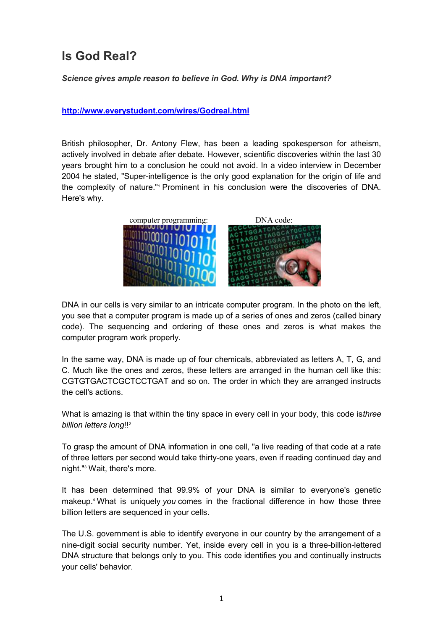## **Is God Real?**

*Science gives ample reason to believe in God. Why is DNA important?*

**http://www.everystudent.com/wires/Godreal.html**

British philosopher, Dr. Antony Flew, has been a leading spokesperson for atheism, actively involved in debate after debate. However, scientific discoveries within the last 30 years brought him to a conclusion he could not avoid. In a video interview in December 2004 he stated, "Super-intelligence is the only good explanation for the origin of life and the complexity of nature."<sup>1</sup> Prominent in his conclusion were the discoveries of DNA. Here's why.



DNA in our cells is very similar to an intricate computer program. In the photo on the left, you see that a computer program is made up of a series of ones and zeros (called binary code). The sequencing and ordering of these ones and zeros is what makes the computer program work properly.

In the same way, DNA is made up of four chemicals, abbreviated as letters A, T, G, and C. Much like the ones and zeros, these letters are arranged in the human cell like this: CGTGTGACTCGCTCCTGAT and so on. The order in which they are arranged instructs the cell's actions.

What is amazing is that within the tiny space in every cell in your body, this code is*three billion letters long*!!<sup>2</sup>

To grasp the amount of DNA information in one cell, "a live reading of that code at a rate of three letters per second would take thirty-one years, even if reading continued day and night."<sup>3</sup> Wait, there's more.

It has been determined that 99.9% of your DNA is similar to everyone's genetic makeup.<sup>4</sup> What is uniquely *you* comes in the fractional difference in how those three billion letters are sequenced in your cells.

The U.S. government is able to identify everyone in our country by the arrangement of a nine-digit social security number. Yet, inside every cell in you is a three-billion-lettered DNA structure that belongs only to you. This code identifies you and continually instructs your cells' behavior.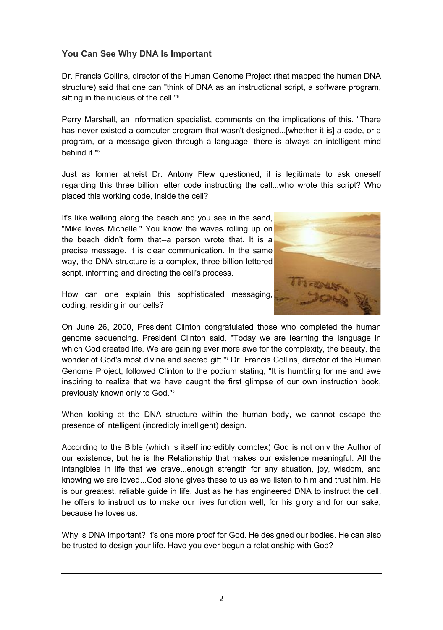## **You Can See Why DNA Is Important**

Dr. Francis Collins, director of the Human Genome Project (that mapped the human DNA structure) said that one can "think of DNA as an instructional script, a software program, sitting in the nucleus of the cell."<sup>5</sup>

Perry Marshall, an information specialist, comments on the implications of this. "There has never existed a computer program that wasn't designed...[whether it is] a code, or a program, or a message given through a language, there is always an intelligent mind behind it."<sup>6</sup>

Just as former atheist Dr. Antony Flew questioned, it is legitimate to ask oneself regarding this three billion letter code instructing the cell...who wrote this script? Who placed this working code, inside the cell?

It's like walking along the beach and you see in the sand, "Mike loves Michelle." You know the waves rolling up on the beach didn't form that--a person wrote that. It is a precise message. It is clear communication. In the same way, the DNA structure is a complex, three-billion-lettered script, informing and directing the cell's process.



How can one explain this sophisticated messaging, coding, residing in our cells?

On June 26, 2000, President Clinton congratulated those who completed the human genome sequencing. President Clinton said, "Today we are learning the language in which God created life. We are gaining ever more awe for the complexity, the beauty, the wonder of God's most divine and sacred gift."<sup>7</sup> Dr. Francis Collins, director of the Human Genome Project, followed Clinton to the podium stating, "It is humbling for me and awe inspiring to realize that we have caught the first glimpse of our own instruction book, previously known only to God."<sup>8</sup>

When looking at the DNA structure within the human body, we cannot escape the presence of intelligent (incredibly intelligent) design.

According to the Bible (which is itself incredibly complex) God is not only the Author of our existence, but he is the Relationship that makes our existence meaningful. All the intangibles in life that we crave...enough strength for any situation, joy, wisdom, and knowing we are loved...God alone gives these to us as we listen to him and trust him. He is our greatest, reliable guide in life. Just as he has engineered DNA to instruct the cell, he offers to instruct us to make our lives function well, for his glory and for our sake, because he loves us.

Why is DNA important? It's one more proof for God. He designed our bodies. He can also be trusted to design your life. Have you ever begun a relationship with God?